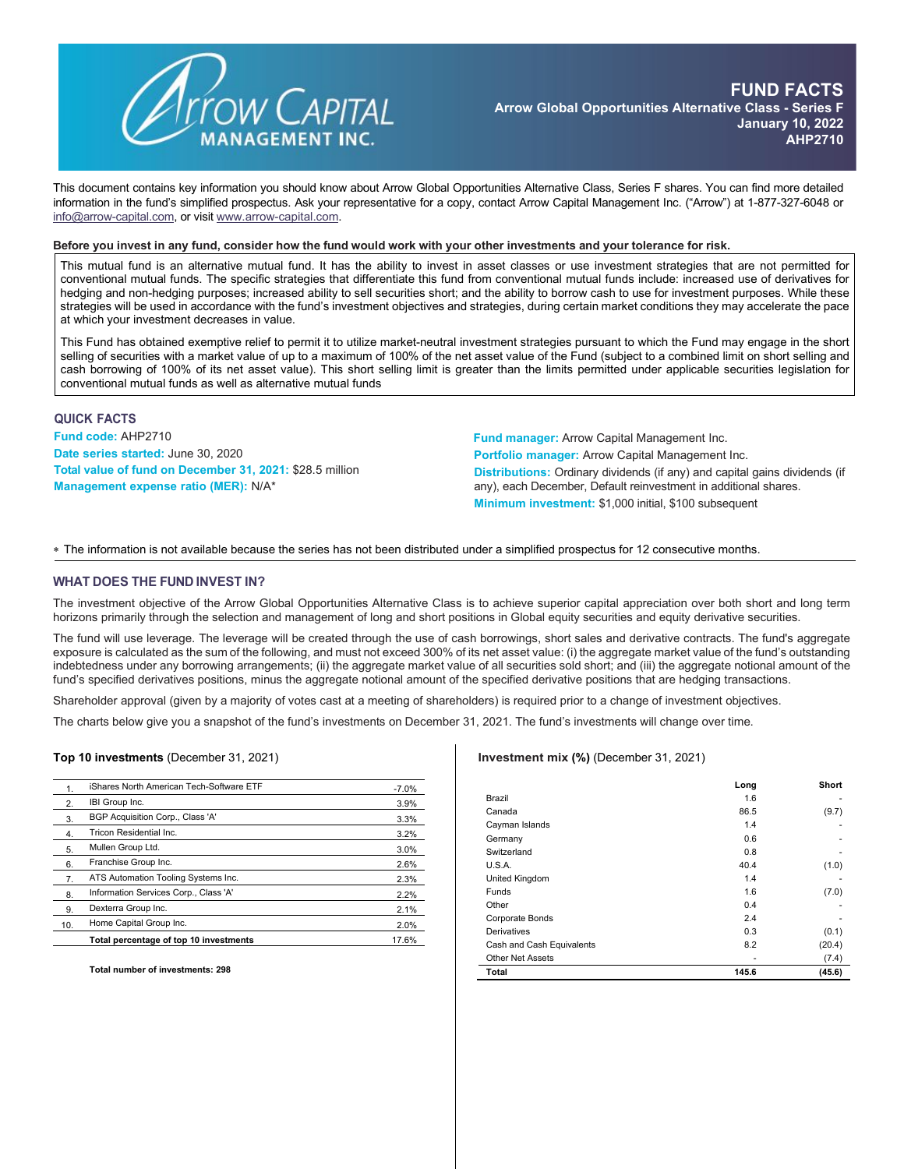

This document contains key information you should know about Arrow Global Opportunities Alternative Class, Series F shares. You can find more detailed information in the fund's simplified prospectus. Ask your representative for a copy, contact Arrow Capital Management Inc. ("Arrow") at 1-877-327-6048 or [info@arrow-capital.com,](mailto:info@arrow-capital.com) or visit [www.arrow-capital.com.](http://www.arrow-capital.com/)

#### Before you invest in any fund, consider how the fund would work with your other investments and your tolerance for risk.

This mutual fund is an alternative mutual fund. It has the ability to invest in asset classes or use investment strategies that are not permitted for conventional mutual funds. The specific strategies that differentiate this fund from conventional mutual funds include: increased use of derivatives for hedging and non-hedging purposes; increased ability to sell securities short; and the ability to borrow cash to use for investment purposes. While these strategies will be used in accordance with the fund's investment objectives and strategies, during certain market conditions they may accelerate the pace at which your investment decreases in value.

This Fund has obtained exemptive relief to permit it to utilize market-neutral investment strategies pursuant to which the Fund may engage in the short selling of securities with a market value of up to a maximum of 100% of the net asset value of the Fund (subject to a combined limit on short selling and cash borrowing of 100% of its net asset value). This short selling limit is greater than the limits permitted under applicable securities legislation for conventional mutual funds as well as alternative mutual funds

## **QUICK FACTS**

**Fund code:** AHP2710 **Date series started:** June 30, 2020 **Total value of fund on December 31, 2021:** \$28.5 million **Management expense ratio (MER):** N/A\*

**Fund manager:** Arrow Capital Management Inc. **Portfolio manager:** Arrow Capital Management Inc. **Distributions:** Ordinary dividends (if any) and capital gains dividends (if any), each December, Default reinvestment in additional shares. **Minimum investment:** \$1,000 initial, \$100 subsequent

∗ The information is not available because the series has not been distributed under a simplified prospectus for 12 consecutive months.

#### **WHAT DOES THE FUND INVEST IN?**

The investment objective of the Arrow Global Opportunities Alternative Class is to achieve superior capital appreciation over both short and long term horizons primarily through the selection and management of long and short positions in Global equity securities and equity derivative securities.

The fund will use leverage. The leverage will be created through the use of cash borrowings, short sales and derivative contracts. The fund's aggregate exposure is calculated as the sum of the following, and must not exceed 300% of its net asset value: (i) the aggregate market value of the fund's outstanding indebtedness under any borrowing arrangements; (ii) the aggregate market value of all securities sold short; and (iii) the aggregate notional amount of the fund's specified derivatives positions, minus the aggregate notional amount of the specified derivative positions that are hedging transactions.

Shareholder approval (given by a majority of votes cast at a meeting of shareholders) is required prior to a change of investment objectives.

The charts below give you a snapshot of the fund's investments on December 31, 2021. The fund's investments will change over time.

**Top 10 investments** (December 31, 2021)

| 1.             | iShares North American Tech-Software ETF | $-7.0%$ |
|----------------|------------------------------------------|---------|
| 2.             | IBI Group Inc.                           | 3.9%    |
| 3.             | BGP Acquisition Corp., Class 'A'         | 3.3%    |
| $\overline{4}$ | Tricon Residential Inc.                  | 3.2%    |
| 5.             | Mullen Group Ltd.                        | 3.0%    |
| 6.             | Franchise Group Inc.                     | 2.6%    |
| 7.             | ATS Automation Tooling Systems Inc.      | 2.3%    |
| 8.             | Information Services Corp., Class 'A'    | 2.2%    |
| 9.             | Dexterra Group Inc.                      | 2.1%    |
| 10.            | Home Capital Group Inc.                  | 2.0%    |
|                | Total percentage of top 10 investments   | 17.6%   |

**Total number of investments: 298**

#### **Investment mix (%)** (December 31, 2021)

|                           | Long  | Short  |
|---------------------------|-------|--------|
| Brazil                    | 1.6   | ۰      |
| Canada                    | 86.5  | (9.7)  |
| Cayman Islands            | 1.4   |        |
| Germany                   | 0.6   | ۰      |
| Switzerland               | 0.8   |        |
| U.S.A.                    | 40.4  | (1.0)  |
| United Kingdom            | 1.4   |        |
| <b>Funds</b>              | 1.6   | (7.0)  |
| Other                     | 0.4   |        |
| Corporate Bonds           | 2.4   |        |
| Derivatives               | 0.3   | (0.1)  |
| Cash and Cash Equivalents | 8.2   | (20.4) |
| <b>Other Net Assets</b>   | ۰     | (7.4)  |
| Total                     | 145.6 | (45.6) |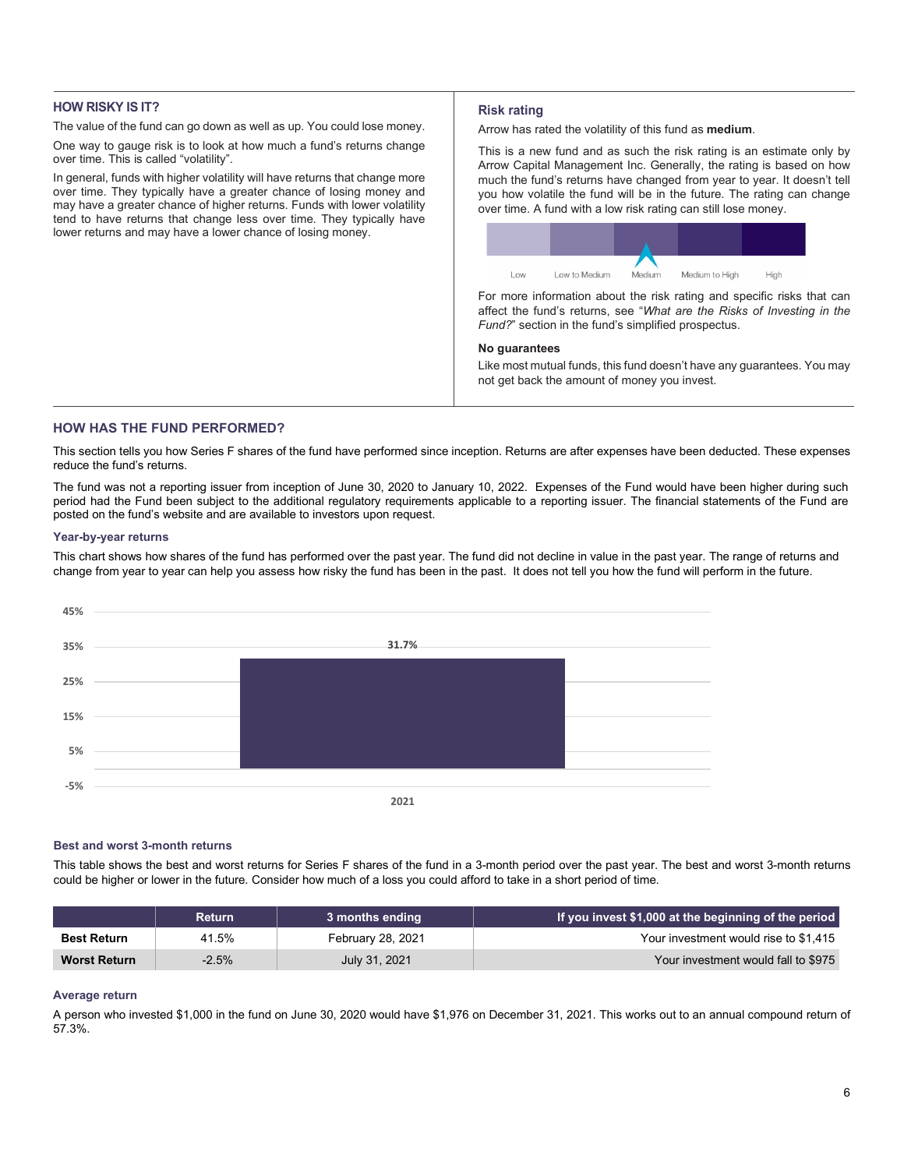# **HOW RISKY IS IT?**

The value of the fund can go down as well as up. You could lose money.

One way to gauge risk is to look at how much a fund's returns change over time. This is called "volatility".

In general, funds with higher volatility will have returns that change more over time. They typically have a greater chance of losing money and may have a greater chance of higher returns. Funds with lower volatility tend to have returns that change less over time. They typically have lower returns and may have a lower chance of losing money.

## **Risk rating**

Arrow has rated the volatility of this fund as **medium**.

This is a new fund and as such the risk rating is an estimate only by Arrow Capital Management Inc. Generally, the rating is based on how much the fund's returns have changed from year to year. It doesn't tell you how volatile the fund will be in the future. The rating can change over time. A fund with a low risk rating can still lose money.



For more information about the risk rating and specific risks that can affect the fund's returns, see "*What are the Risks of Investing in the Fund?*" section in the fund's simplified prospectus.

## **No guarantees**

Like most mutual funds, this fund doesn't have any guarantees. You may not get back the amount of money you invest.

## **HOW HAS THE FUND PERFORMED?**

This section tells you how Series F shares of the fund have performed since inception. Returns are after expenses have been deducted. These expenses reduce the fund's returns.

The fund was not a reporting issuer from inception of June 30, 2020 to January 10, 2022. Expenses of the Fund would have been higher during such period had the Fund been subject to the additional regulatory requirements applicable to a reporting issuer. The financial statements of the Fund are posted on the fund's website and are available to investors upon request.

## **Year-by-year returns**

This chart shows how shares of the fund has performed over the past year. The fund did not decline in value in the past year. The range of returns and change from year to year can help you assess how risky the fund has been in the past. It does not tell you how the fund will perform in the future.



#### **Best and worst 3-month returns**

This table shows the best and worst returns for Series F shares of the fund in a 3-month period over the past year. The best and worst 3-month returns could be higher or lower in the future. Consider how much of a loss you could afford to take in a short period of time.

|                     | <b>Return</b> | 3 months ending   | If you invest \$1,000 at the beginning of the period |
|---------------------|---------------|-------------------|------------------------------------------------------|
| <b>Best Return</b>  | 41.5%         | February 28, 2021 | Your investment would rise to \$1.415                |
| <b>Worst Return</b> | -2.5%         | July 31, 2021     | Your investment would fall to \$975                  |

## **Average return**

A person who invested \$1,000 in the fund on June 30, 2020 would have \$1,976 on December 31, 2021. This works out to an annual compound return of 57.3%.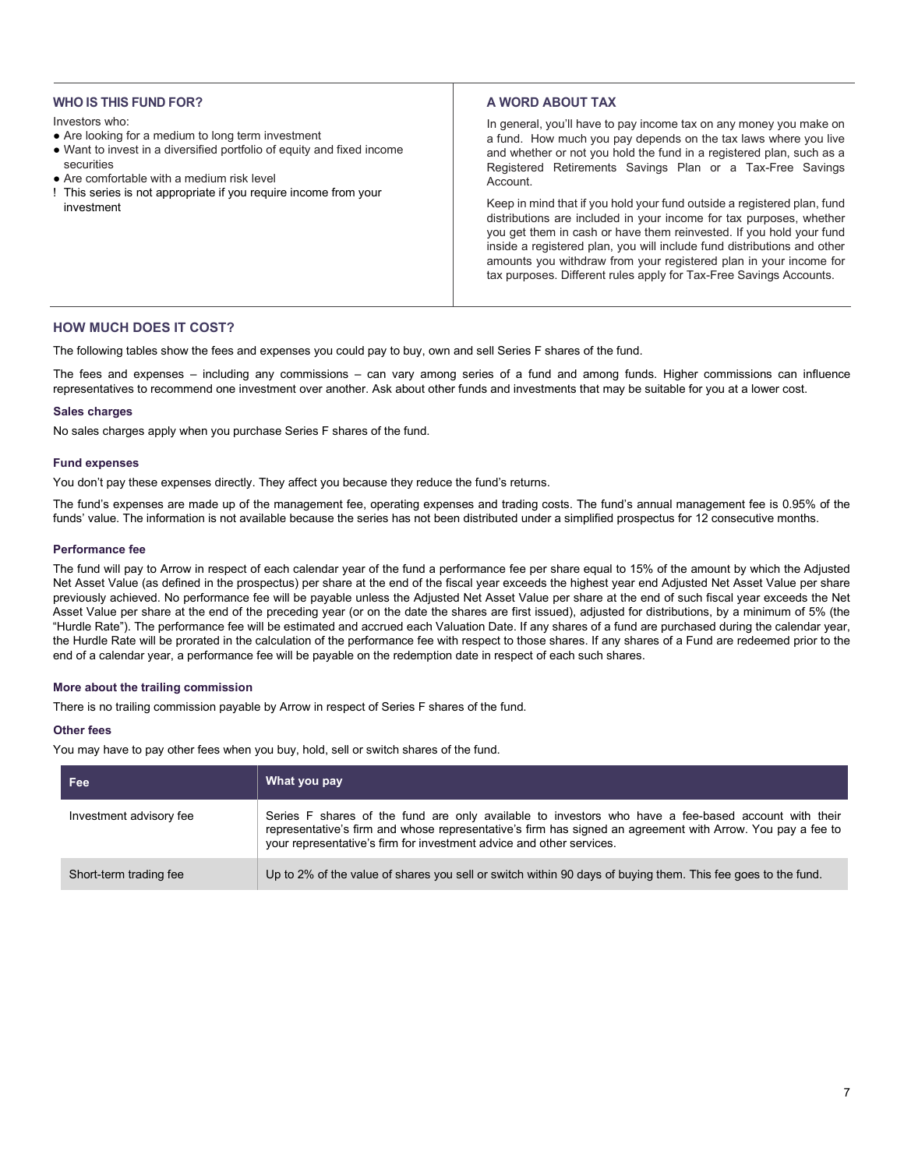# **WHO IS THIS FUND FOR?**

#### Investors who:

- Are looking for a medium to long term investment
- Want to invest in a diversified portfolio of equity and fixed income securities
- Are comfortable with a medium risk level
- ! This series is not appropriate if you require income from your investment

# **A WORD ABOUT TAX**

In general, you'll have to pay income tax on any money you make on a fund. How much you pay depends on the tax laws where you live and whether or not you hold the fund in a registered plan, such as a Registered Retirements Savings Plan or a Tax-Free Savings Account.

Keep in mind that if you hold your fund outside a registered plan, fund distributions are included in your income for tax purposes, whether you get them in cash or have them reinvested. If you hold your fund inside a registered plan, you will include fund distributions and other amounts you withdraw from your registered plan in your income for tax purposes. Different rules apply for Tax-Free Savings Accounts.

# **HOW MUCH DOES IT COST?**

The following tables show the fees and expenses you could pay to buy, own and sell Series F shares of the fund.

The fees and expenses – including any commissions – can vary among series of a fund and among funds. Higher commissions can influence representatives to recommend one investment over another. Ask about other funds and investments that may be suitable for you at a lower cost.

## **Sales charges**

No sales charges apply when you purchase Series F shares of the fund.

## **Fund expenses**

You don't pay these expenses directly. They affect you because they reduce the fund's returns.

The fund's expenses are made up of the management fee, operating expenses and trading costs. The fund's annual management fee is 0.95% of the funds' value. The information is not available because the series has not been distributed under a simplified prospectus for 12 consecutive months.

## **Performance fee**

The fund will pay to Arrow in respect of each calendar year of the fund a performance fee per share equal to 15% of the amount by which the Adjusted Net Asset Value (as defined in the prospectus) per share at the end of the fiscal year exceeds the highest year end Adjusted Net Asset Value per share previously achieved. No performance fee will be payable unless the Adjusted Net Asset Value per share at the end of such fiscal year exceeds the Net Asset Value per share at the end of the preceding year (or on the date the shares are first issued), adjusted for distributions, by a minimum of 5% (the "Hurdle Rate"). The performance fee will be estimated and accrued each Valuation Date. If any shares of a fund are purchased during the calendar year, the Hurdle Rate will be prorated in the calculation of the performance fee with respect to those shares. If any shares of a Fund are redeemed prior to the end of a calendar year, a performance fee will be payable on the redemption date in respect of each such shares.

#### **More about the trailing commission**

There is no trailing commission payable by Arrow in respect of Series F shares of the fund.

# **Other fees**

You may have to pay other fees when you buy, hold, sell or switch shares of the fund.

| Fee                     | What you pay                                                                                                                                                                                                                                                                              |
|-------------------------|-------------------------------------------------------------------------------------------------------------------------------------------------------------------------------------------------------------------------------------------------------------------------------------------|
| Investment advisory fee | Series F shares of the fund are only available to investors who have a fee-based account with their<br>representative's firm and whose representative's firm has signed an agreement with Arrow. You pay a fee to<br>your representative's firm for investment advice and other services. |
| Short-term trading fee  | Up to 2% of the value of shares you sell or switch within 90 days of buying them. This fee goes to the fund.                                                                                                                                                                              |